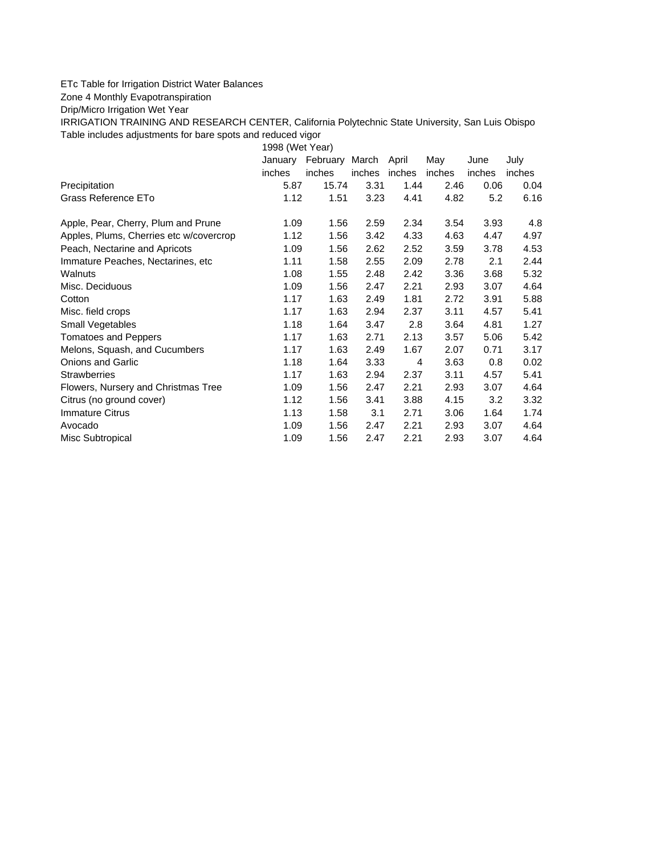## ETc Table for Irrigation District Water Balances

Zone 4 Monthly Evapotranspiration

Drip/Micro Irrigation Wet Year

IRRIGATION TRAINING AND RESEARCH CENTER, California Polytechnic State University, San Luis Obispo Table includes adjustments for bare spots and reduced vigor

1998 (Wet Year)

|                                         | January | February March |        | April  | May    | June   | July   |
|-----------------------------------------|---------|----------------|--------|--------|--------|--------|--------|
|                                         | inches  | inches         | inches | inches | inches | inches | inches |
| Precipitation                           | 5.87    | 15.74          | 3.31   | 1.44   | 2.46   | 0.06   | 0.04   |
| Grass Reference ETo                     | 1.12    | 1.51           | 3.23   | 4.41   | 4.82   | 5.2    | 6.16   |
| Apple, Pear, Cherry, Plum and Prune     | 1.09    | 1.56           | 2.59   | 2.34   | 3.54   | 3.93   | 4.8    |
| Apples, Plums, Cherries etc w/covercrop | 1.12    | 1.56           | 3.42   | 4.33   | 4.63   | 4.47   | 4.97   |
| Peach, Nectarine and Apricots           | 1.09    | 1.56           | 2.62   | 2.52   | 3.59   | 3.78   | 4.53   |
| Immature Peaches, Nectarines, etc.      | 1.11    | 1.58           | 2.55   | 2.09   | 2.78   | 2.1    | 2.44   |
| Walnuts                                 | 1.08    | 1.55           | 2.48   | 2.42   | 3.36   | 3.68   | 5.32   |
| Misc. Deciduous                         | 1.09    | 1.56           | 2.47   | 2.21   | 2.93   | 3.07   | 4.64   |
| Cotton                                  | 1.17    | 1.63           | 2.49   | 1.81   | 2.72   | 3.91   | 5.88   |
| Misc. field crops                       | 1.17    | 1.63           | 2.94   | 2.37   | 3.11   | 4.57   | 5.41   |
| Small Vegetables                        | 1.18    | 1.64           | 3.47   | 2.8    | 3.64   | 4.81   | 1.27   |
| <b>Tomatoes and Peppers</b>             | 1.17    | 1.63           | 2.71   | 2.13   | 3.57   | 5.06   | 5.42   |
| Melons, Squash, and Cucumbers           | 1.17    | 1.63           | 2.49   | 1.67   | 2.07   | 0.71   | 3.17   |
| Onions and Garlic                       | 1.18    | 1.64           | 3.33   | 4      | 3.63   | 0.8    | 0.02   |
| <b>Strawberries</b>                     | 1.17    | 1.63           | 2.94   | 2.37   | 3.11   | 4.57   | 5.41   |
| Flowers, Nursery and Christmas Tree     | 1.09    | 1.56           | 2.47   | 2.21   | 2.93   | 3.07   | 4.64   |
| Citrus (no ground cover)                | 1.12    | 1.56           | 3.41   | 3.88   | 4.15   | 3.2    | 3.32   |
| Immature Citrus                         | 1.13    | 1.58           | 3.1    | 2.71   | 3.06   | 1.64   | 1.74   |
| Avocado                                 | 1.09    | 1.56           | 2.47   | 2.21   | 2.93   | 3.07   | 4.64   |
| Misc Subtropical                        | 1.09    | 1.56           | 2.47   | 2.21   | 2.93   | 3.07   | 4.64   |